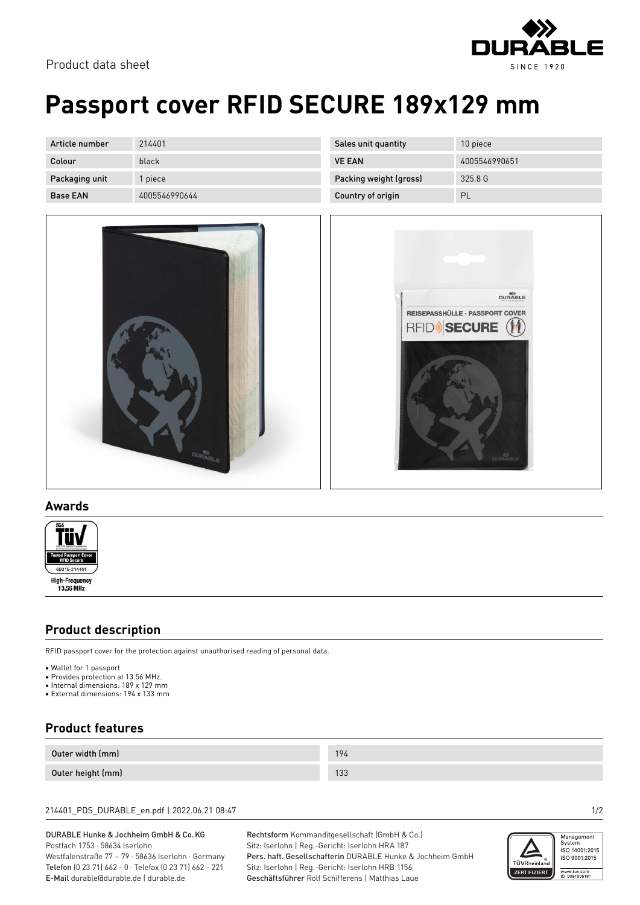

## **Passport cover RFID SECURE 189x129 mm**

| Article number  | 214401        |
|-----------------|---------------|
| Colour          | black         |
| Packaging unit  | 1 piece       |
| <b>Base EAN</b> | 4005546990644 |



| Sales unit quantity    | 10 piece      |
|------------------------|---------------|
| <b>VE FAN</b>          | 4005546990651 |
| Packing weight (gross) | 3258G         |
| Country of origin      |               |



### **Awards**



## **Product description**

RFID passport cover for the protection against unauthorised reading of personal data.

- Wallet for 1 passport
- Provides protection at 13.56 MHz.
- Internal dimensions: 189 x 129 mm
- External dimensions: 194 x 133 mm

## **Product features**

| Outer width (mm)  | 194 |
|-------------------|-----|
| Outer height (mm) | 133 |

#### 214401\_PDS\_DURABLE\_en.pdf | 2022.06.21 08:47 1/2

#### DURABLE Hunke & Jochheim GmbH & Co.KG Postfach 1753 · 58634 Iserlohn

Westfalenstraße 77 – 79 · 58636 Iserlohn · Germany Telefon (0 23 71) 662 - 0 · Telefax (0 23 71) 662 - 221 E-Mail durable@durable.de | durable.de

Rechtsform Kommanditgesellschaft (GmbH & Co.) Sitz: Iserlohn | Reg.-Gericht: Iserlohn HRA 187 Pers. haft. Gesellschafterin DURABLE Hunke & Jochheim GmbH Sitz: Iserlohn | Reg.-Gericht: Iserlohn HRB 1156 Geschäftsführer Rolf Schifferens | Matthias Laue